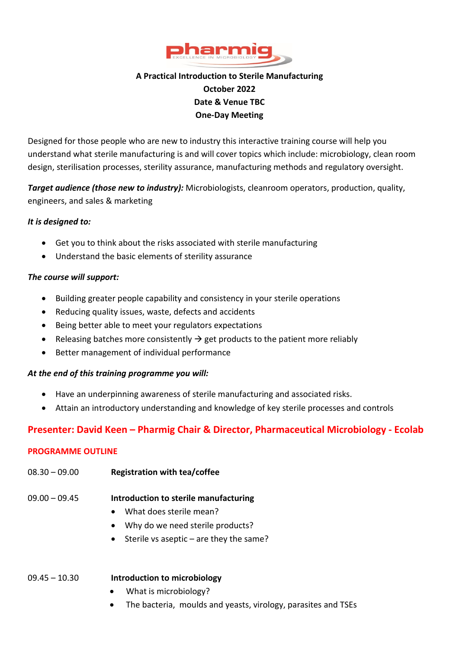

# **A Practical Introduction to Sterile Manufacturing October 2022 Date & Venue TBC One-Day Meeting**

Designed for those people who are new to industry this interactive training course will help you understand what sterile manufacturing is and will cover topics which include: microbiology, clean room design, sterilisation processes, sterility assurance, manufacturing methods and regulatory oversight.

*Target audience (those new to industry):* Microbiologists, cleanroom operators, production, quality, engineers, and sales & marketing

#### *It is designed to:*

- Get you to think about the risks associated with sterile manufacturing
- Understand the basic elements of sterility assurance

#### *The course will support:*

- Building greater people capability and consistency in your sterile operations
- Reducing quality issues, waste, defects and accidents
- Being better able to meet your regulators expectations
- Releasing batches more consistently  $\rightarrow$  get products to the patient more reliably
- Better management of individual performance

#### *At the end of this training programme you will:*

- Have an underpinning awareness of sterile manufacturing and associated risks.
- Attain an introductory understanding and knowledge of key sterile processes and controls

# **Presenter: David Keen – Pharmig Chair & Director, Pharmaceutical Microbiology - Ecolab**

#### **PROGRAMME OUTLINE**

08.30 – 09.00 **Registration with tea/coffee**

#### 09.00 – 09.45 **Introduction to sterile manufacturing**

- What does sterile mean?
- Why do we need sterile products?
- Sterile vs aseptic are they the same?

#### 09.45 – 10.30 **Introduction to microbiology**

- What is microbiology?
- The bacteria, moulds and yeasts, virology, parasites and TSEs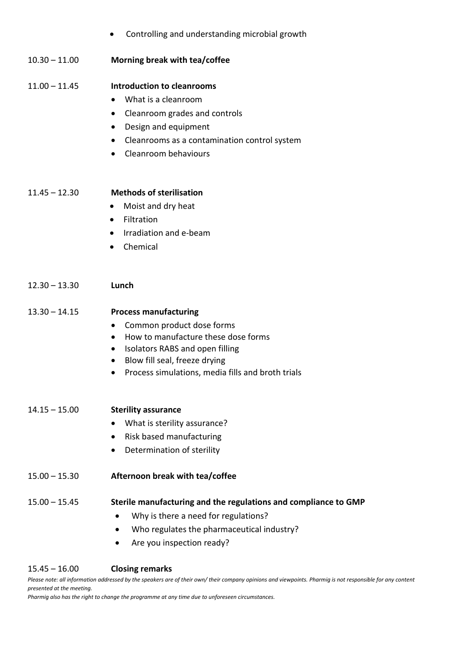|                 | Controlling and understanding microbial growth<br>$\bullet$                                                                                                                                                                                                      |
|-----------------|------------------------------------------------------------------------------------------------------------------------------------------------------------------------------------------------------------------------------------------------------------------|
| $10.30 - 11.00$ | Morning break with tea/coffee                                                                                                                                                                                                                                    |
| $11.00 - 11.45$ | Introduction to cleanrooms<br>What is a cleanroom<br>$\bullet$<br>Cleanroom grades and controls<br>٠<br>Design and equipment<br>$\bullet$<br>Cleanrooms as a contamination control system<br>$\bullet$<br>Cleanroom behaviours<br>$\bullet$                      |
| $11.45 - 12.30$ | <b>Methods of sterilisation</b><br>Moist and dry heat<br>٠<br>Filtration<br>$\bullet$<br>Irradiation and e-beam<br>$\bullet$<br>Chemical<br>$\bullet$                                                                                                            |
| $12.30 - 13.30$ | Lunch                                                                                                                                                                                                                                                            |
| $13.30 - 14.15$ | <b>Process manufacturing</b><br>Common product dose forms<br>$\bullet$<br>How to manufacture these dose forms<br>$\bullet$<br>Isolators RABS and open filling<br>$\bullet$<br>Blow fill seal, freeze drying<br>Process simulations, media fills and broth trials |
| $14.15 - 15.00$ | <b>Sterility assurance</b><br>What is sterility assurance?<br>Risk based manufacturing<br>$\bullet$<br>Determination of sterility<br>$\bullet$                                                                                                                   |
| $15.00 - 15.30$ | Afternoon break with tea/coffee                                                                                                                                                                                                                                  |
| $15.00 - 15.45$ | Sterile manufacturing and the regulations and compliance to GMP<br>Why is there a need for regulations?<br>Who regulates the pharmaceutical industry?<br>$\bullet$<br>Are you inspection ready?                                                                  |

#### 15.45 – 16.00 **Closing remarks**

*Please note: all information addressed by the speakers are of their own/ their company opinions and viewpoints. Pharmig is not responsible for any content presented at the meeting.*

*Pharmig also has the right to change the programme at any time due to unforeseen circumstances.*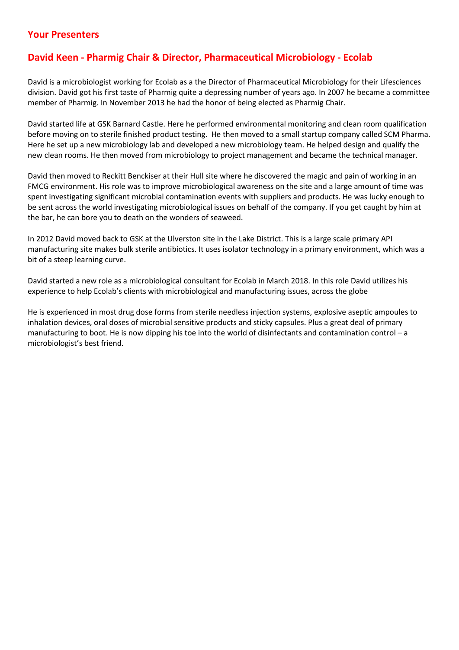### **Your Presenters**

# **David Keen - Pharmig Chair & Director, Pharmaceutical Microbiology - Ecolab**

David is a microbiologist working for Ecolab as a the Director of Pharmaceutical Microbiology for their Lifesciences division. David got his first taste of Pharmig quite a depressing number of years ago. In 2007 he became a committee member of Pharmig. In November 2013 he had the honor of being elected as Pharmig Chair.

David started life at GSK Barnard Castle. Here he performed environmental monitoring and clean room qualification before moving on to sterile finished product testing. He then moved to a small startup company called SCM Pharma. Here he set up a new microbiology lab and developed a new microbiology team. He helped design and qualify the new clean rooms. He then moved from microbiology to project management and became the technical manager.

David then moved to Reckitt Benckiser at their Hull site where he discovered the magic and pain of working in an FMCG environment. His role was to improve microbiological awareness on the site and a large amount of time was spent investigating significant microbial contamination events with suppliers and products. He was lucky enough to be sent across the world investigating microbiological issues on behalf of the company. If you get caught by him at the bar, he can bore you to death on the wonders of seaweed.

In 2012 David moved back to GSK at the Ulverston site in the Lake District. This is a large scale primary API manufacturing site makes bulk sterile antibiotics. It uses isolator technology in a primary environment, which was a bit of a steep learning curve.

David started a new role as a microbiological consultant for Ecolab in March 2018. In this role David utilizes his experience to help Ecolab's clients with microbiological and manufacturing issues, across the globe

He is experienced in most drug dose forms from sterile needless injection systems, explosive aseptic ampoules to inhalation devices, oral doses of microbial sensitive products and sticky capsules. Plus a great deal of primary manufacturing to boot. He is now dipping his toe into the world of disinfectants and contamination control – a microbiologist's best friend.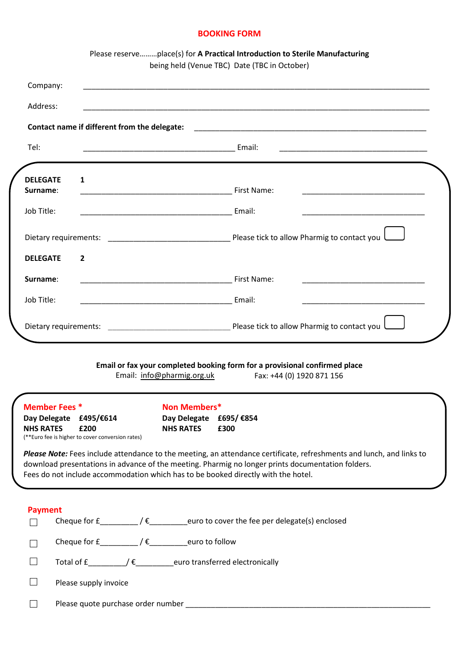#### **BOOKING FORM**

|                 | Please reserveplace(s) for A Practical Introduction to Sterile Manufacturing<br>being held (Venue TBC) Date (TBC in October)         |
|-----------------|--------------------------------------------------------------------------------------------------------------------------------------|
| Company:        |                                                                                                                                      |
| Address:        | <u> 1989 - Johann Stoff, amerikansk politiker (d. 1989)</u>                                                                          |
|                 | Contact name if different from the delegate:                                                                                         |
| Tel:            |                                                                                                                                      |
| <b>DELEGATE</b> | $\mathbf{1}$                                                                                                                         |
| Surname:        | <u> 1989 - Johann Barn, mars ann an t-Amhain an t-Amhain an t-Amhain an t-Amhain an t-Amhain an t-Amhain an t-Amh</u><br>First Name: |
| Job Title:      | Email:<br><u> 1989 - Johann John Stone, mars et al. (1989)</u>                                                                       |
|                 |                                                                                                                                      |
| <b>DELEGATE</b> | $\overline{2}$                                                                                                                       |
| Surname:        | First Name:                                                                                                                          |
| Job Title:      |                                                                                                                                      |
|                 |                                                                                                                                      |

Email: [info@pharmig.org.uk](mailto:info@pharmig.org.uk) Fax: +44 (0) 1920 871 156

| <b>Member Fees</b> * |                                                          |   | Non Members*     |                                                                                                                                                                                        |
|----------------------|----------------------------------------------------------|---|------------------|----------------------------------------------------------------------------------------------------------------------------------------------------------------------------------------|
| Day Delegate         | £495/€614                                                |   | Day Delegate     | £695/ €854                                                                                                                                                                             |
| <b>NHS RATES</b>     | £200<br>(**Euro fee is higher to cover conversion rates) |   | <b>NHS RATES</b> | £300                                                                                                                                                                                   |
|                      |                                                          |   |                  | Please Note: Fees include attendance to the meeting, an attendance certificate, refreshments and lunch, and links to                                                                   |
|                      |                                                          |   |                  | download presentations in advance of the meeting. Pharmig no longer prints documentation folders.<br>Fees do not include accommodation which has to be booked directly with the hotel. |
| <b>Payment</b>       |                                                          |   |                  |                                                                                                                                                                                        |
|                      | Cheque for £                                             | € |                  | euro to cover the fee per delegate(s) enclosed                                                                                                                                         |

 $\Box$  Total of £\_\_\_\_\_\_\_\_\_/  $\epsilon$ \_\_\_\_\_\_\_\_euro transferred electronically

| $\Box$ |  | Please supply invoice |
|--------|--|-----------------------|
|        |  |                       |

 $\Box$ Please quote purchase order number \_\_\_\_\_\_\_\_\_\_\_\_\_\_\_\_\_\_\_\_\_\_\_\_\_\_\_\_\_\_\_\_\_\_\_\_\_\_\_\_\_\_\_\_\_\_\_\_\_\_\_\_\_\_\_\_\_\_